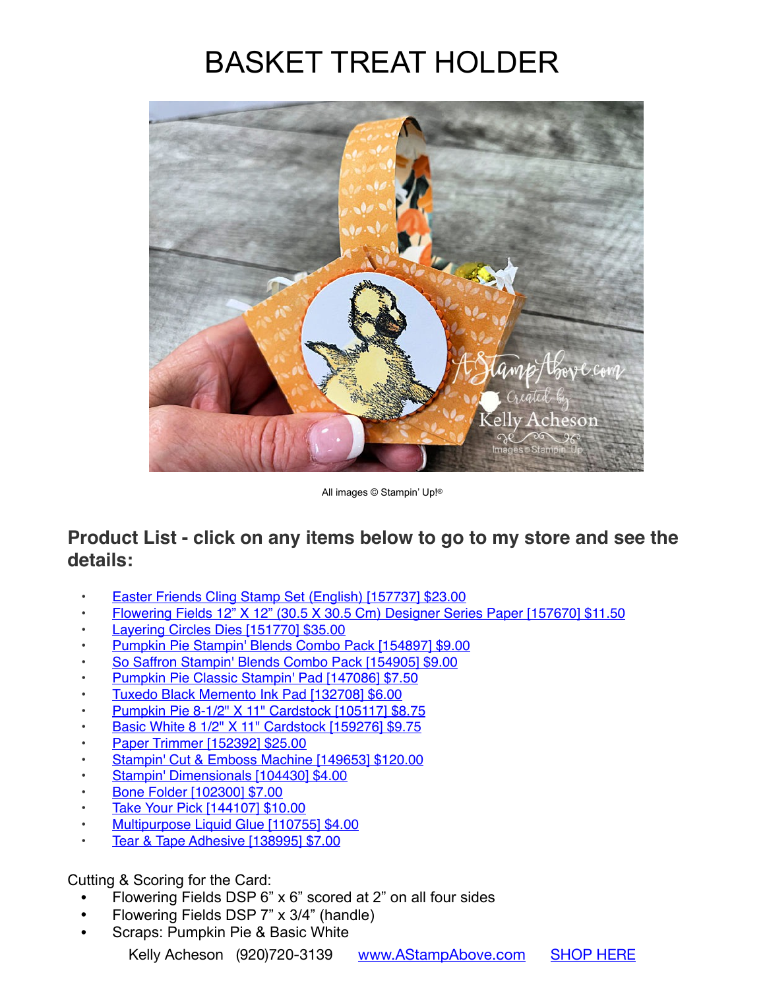## BASKET TREAT HOLDER



All images © Stampin' Up!®

## **Product List - click on any items below to go to my store and see the details:**

- [Easter Friends Cling Stamp Set \(English\) \[157737\] \\$23.00](https://www.stampinup.com/products/easter-friends-cling-stamp-set-english?demoid=80626)
- [Flowering Fields 12" X 12" \(30.5 X 30.5 Cm\) Designer Series Paper \[157670\] \\$11.50](https://www.stampinup.com/products/flowering-fields-12-x-12-30-5-x-30-5-cm-designer-series-paper?demoid=80626)
- [Layering Circles Dies \[151770\] \\$35.00](https://www.stampinup.com/products/layering-circles-dies?demoid=80626)
- [Pumpkin Pie Stampin' Blends Combo Pack \[154897\] \\$9.00](https://www.stampinup.com/products/pumpkin-pie-stampin-blends-combo-pack?demoid=80626)
- [So Saffron Stampin' Blends Combo Pack \[154905\] \\$9.00](https://www.stampinup.com/products/so-saffron-stampin-blends-combo-pack?demoid=80626)
- [Pumpkin Pie Classic Stampin' Pad \[147086\] \\$7.50](https://www.stampinup.com/products/classic-stampin-pad-pumpkin-pie?demoid=80626)
- [Tuxedo Black Memento Ink Pad \[132708\] \\$6.00](https://www.stampinup.com/products/memento-ink-pad-tuxedo-black?demoid=80626)
- [Pumpkin Pie 8-1/2" X 11" Cardstock \[105117\] \\$8.75](https://www.stampinup.com/products/cardstock-8-1-2-x-11-pumpkin-pie?demoid=80626)
- [Basic White 8 1/2" X 11" Cardstock \[159276\] \\$9.75](https://www.stampinup.com/products/basic-white-8-1-2-x-11-cardstock?demoid=80626)
- [Paper Trimmer \[152392\] \\$25.00](https://www.stampinup.com/products/paper-trimmer?demoid=80626)
- [Stampin' Cut & Emboss Machine \[149653\] \\$120.00](https://www.stampinup.com/products/stampin-cut-emboss-machine?demoid=80626)
- [Stampin' Dimensionals \[104430\] \\$4.00](https://www.stampinup.com/products/stampin-dimensionals?demoid=80626)
- [Bone Folder \[102300\] \\$7.00](https://www.stampinup.com/products/bone-folder?demoid=80626)
- [Take Your Pick \[144107\] \\$10.00](https://www.stampinup.com/products/take-your-pick?demoid=80626)
- [Multipurpose Liquid Glue \[110755\] \\$4.00](https://www.stampinup.com/products/glue-liquid-multipurpose?demoid=80626)
- [Tear & Tape Adhesive \[138995\] \\$7.00](https://www.stampinup.com/products/adhesive-tear-tape?demoid=80626)

Cutting & Scoring for the Card:

- Flowering Fields DSP 6" x 6" scored at 2" on all four sides
- Flowering Fields DSP 7" x 3/4" (handle)
- Scraps: Pumpkin Pie & Basic White

Kelly Acheson (920)720-3139 [www.AStampAbove.com](http://www.AStampAbove.com) [SHOP HERE](https://www.stampinup.com?demoid=80626)